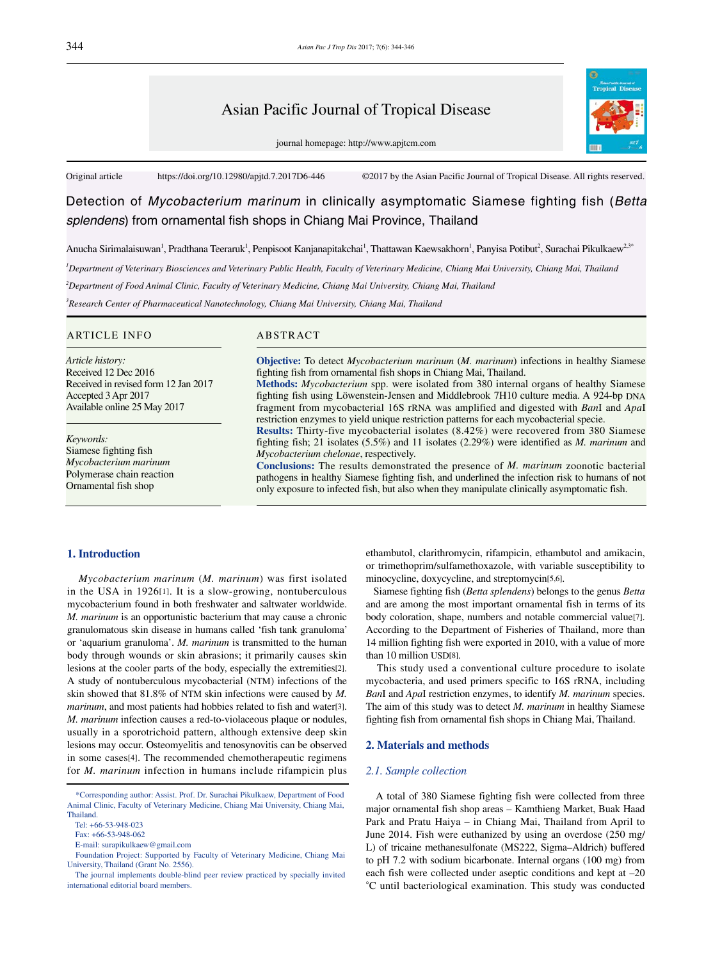# Asian Pacific Journal of Tropical Disease

journal homepage: http://www.apjtcm.com



Original article https://doi.org/10.12980/apjtd.7.2017D6-446 ©2017 by the Asian Pacific Journal of Tropical Disease. All rights reserved.

# Detection of *Mycobacterium marinum* in clinically asymptomatic Siamese fighting fish (*Betta splendens*) from ornamental fish shops in Chiang Mai Province, Thailand

Anucha Sirimalaisuwan', Pradthana Teeraruk', Penpisoot Kanjanapitakchai', Thattawan Kaewsakhorn', Panyisa Potibut<sup>2</sup>, Surachai Pikulkaew<sup>2,3</sup>'

*1 Department of Veterinary Biosciences and Veterinary Public Health, Faculty of Veterinary Medicine, Chiang Mai University, Chiang Mai, Thailand*

*2 Department of Food Animal Clinic, Faculty of Veterinary Medicine, Chiang Mai University, Chiang Mai, Thailand*

*3 Research Center of Pharmaceutical Nanotechnology, Chiang Mai University, Chiang Mai, Thailand*

### ARTICLE INFO ABSTRACT

*Article history:* Received 12 Dec 2016 Received in revised form 12 Jan 2017 Accepted 3 Apr 2017 Available online 25 May 2017

*Keywords:* Siamese fighting fish *Mycobacterium marinum* Polymerase chain reaction Ornamental fish shop

**Objective:** To detect *Mycobacterium marinum* (*M. marinum*) infections in healthy Siamese fighting fish from ornamental fish shops in Chiang Mai, Thailand.

**Methods:** *Mycobacterium* spp. were isolated from 380 internal organs of healthy Siamese fighting fish using Löwenstein-Jensen and Middlebrook 7H10 culture media. A 924-bp DNA fragment from mycobacterial 16S rRNA was amplified and digested with *Ban*I and *Apa*I restriction enzymes to yield unique restriction patterns for each mycobacterial specie.

**Results:** Thirty-five mycobacterial isolates (8.42%) were recovered from 380 Siamese fighting fish; 21 isolates (5.5%) and 11 isolates (2.29%) were identified as *M. marinum* and *Mycobacterium chelonae*, respectively.

**Conclusions:** The results demonstrated the presence of *M. marinum* zoonotic bacterial pathogens in healthy Siamese fighting fish, and underlined the infection risk to humans of not only exposure to infected fish, but also when they manipulate clinically asymptomatic fish.

## **1. Introduction**

 *Mycobacterium marinum* (*M. marinum*) was first isolated in the USA in 1926[1]. It is a slow-growing, nontuberculous mycobacterium found in both freshwater and saltwater worldwide. *M. marinum* is an opportunistic bacterium that may cause a chronic granulomatous skin disease in humans called 'fish tank granuloma' or 'aquarium granuloma'. *M. marinum* is transmitted to the human body through wounds or skin abrasions; it primarily causes skin lesions at the cooler parts of the body, especially the extremities[2]. A study of nontuberculous mycobacterial (NTM) infections of the skin showed that 81.8% of NTM skin infections were caused by *M. marinum*, and most patients had hobbies related to fish and water[3]. *M. marinum* infection causes a red-to-violaceous plaque or nodules, usually in a sporotrichoid pattern, although extensive deep skin lesions may occur. Osteomyelitis and tenosynovitis can be observed in some cases[4]. The recommended chemotherapeutic regimens for *M. marinum* infection in humans include rifampicin plus ethambutol, clarithromycin, rifampicin, ethambutol and amikacin, or trimethoprim/sulfamethoxazole, with variable susceptibility to minocycline, doxycycline, and streptomycin[5,6].

 Siamese fighting fish (*Betta splendens*) belongs to the genus *Betta*  and are among the most important ornamental fish in terms of its body coloration, shape, numbers and notable commercial value[7]. According to the Department of Fisheries of Thailand, more than 14 million fighting fish were exported in 2010, with a value of more than 10 million USD[8].

 This study used a conventional culture procedure to isolate mycobacteria, and used primers specific to 16S rRNA, including *Ban*I and *Apa*I restriction enzymes, to identify *M. marinum* species. The aim of this study was to detect *M. marinum* in healthy Siamese fighting fish from ornamental fish shops in Chiang Mai, Thailand.

# **2. Materials and methods**

#### *2.1. Sample collection*

 A total of 380 Siamese fighting fish were collected from three major ornamental fish shop areas – Kamthieng Market, Buak Haad Park and Pratu Haiya – in Chiang Mai, Thailand from April to June 2014. Fish were euthanized by using an overdose (250 mg/ L) of tricaine methanesulfonate (MS222, Sigma–Aldrich) buffered to pH 7.2 with sodium bicarbonate. Internal organs (100 mg) from each fish were collected under aseptic conditions and kept at –20 °C until bacteriological examination. This study was conducted

 <sup>\*</sup>Corresponding author: Assist. Prof. Dr. Surachai Pikulkaew, Department of Food Animal Clinic, Faculty of Veterinary Medicine, Chiang Mai University, Chiang Mai, **Thailand** 

Tel: +66-53-948-023

Fax: +66-53-948-062

E-mail: surapikulkaew@gmail.com

Foundation Project: Supported by Faculty of Veterinary Medicine, Chiang Mai University, Thailand (Grant No. 2556).

The journal implements double-blind peer review practiced by specially invited international editorial board members.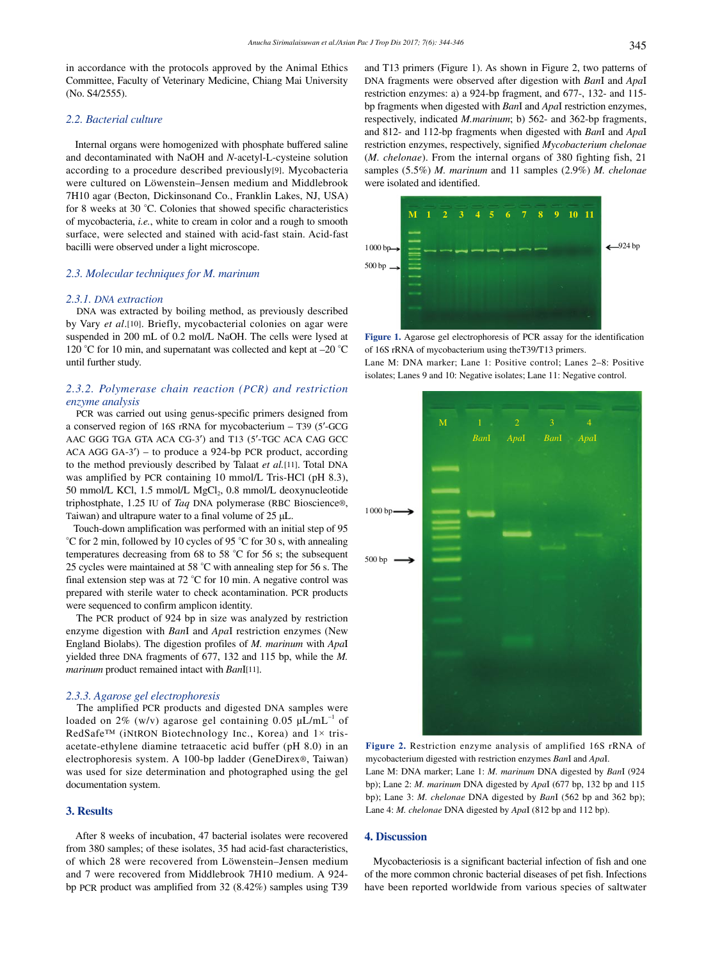in accordance with the protocols approved by the Animal Ethics Committee, Faculty of Veterinary Medicine, Chiang Mai University (No. S4/2555).

#### *2.2. Bacterial culture*

 Internal organs were homogenized with phosphate buffered saline and decontaminated with NaOH and *N*-acetyl-L-cysteine solution according to a procedure described previously[9]. Mycobacteria were cultured on Löwenstein–Jensen medium and Middlebrook 7H10 agar (Becton, Dickinsonand Co., Franklin Lakes, NJ, USA) for 8 weeks at 30 °C. Colonies that showed specific characteristics of mycobacteria, *i.e.*, white to cream in color and a rough to smooth surface, were selected and stained with acid-fast stain. Acid-fast bacilli were observed under a light microscope.

## *2.3. Molecular techniques for M. marinum*

#### *2.3.1. DNA extraction*

 DNA was extracted by boiling method, as previously described by Vary *et al*.[10]. Briefly, mycobacterial colonies on agar were suspended in 200 mL of 0.2 mol/L NaOH. The cells were lysed at 120 °C for 10 min, and supernatant was collected and kept at –20 °C until further study.

# *2.3.2. Polymerase chain reaction (PCR) and restriction enzyme analysis*

 PCR was carried out using genus-specific primers designed from a conserved region of 16S rRNA for mycobacterium – T39 (5′-GCG AAC GGG TGA GTA ACA CG-3′) and T13 (5′-TGC ACA CAG GCC ACA AGG GA-3′) – to produce a 924-bp PCR product, according to the method previously described by Talaat *et al.*[11]. Total DNA was amplified by PCR containing 10 mmol/L Tris-HCl (pH 8.3), 50 mmol/L KCl, 1.5 mmol/L MgCl<sub>2</sub>, 0.8 mmol/L deoxynucleotide triphostphate, 1.25 IU of *Taq* DNA polymerase (RBC Bioscience®, Taiwan) and ultrapure water to a final volume of 25 μL.

 Touch-down amplification was performed with an initial step of 95 °C for 2 min, followed by 10 cycles of 95 °C for 30 s, with annealing temperatures decreasing from 68 to 58 °C for 56 s; the subsequent 25 cycles were maintained at 58 °C with annealing step for 56 s. The final extension step was at 72 °C for 10 min. A negative control was prepared with sterile water to check acontamination. PCR products were sequenced to confirm amplicon identity.

 The PCR product of 924 bp in size was analyzed by restriction enzyme digestion with *Ban*I and *Apa*I restriction enzymes (New England Biolabs). The digestion profiles of *M. marinum* with *Apa*I yielded three DNA fragments of 677, 132 and 115 bp, while the *M. marinum* product remained intact with *Ban*I[11].

#### *2.3.3. Agarose gel electrophoresis*

 The amplified PCR products and digested DNA samples were loaded on 2% (w/v) agarose gel containing  $0.05 \mu L/mL^{-1}$  of RedSafe<sup>™</sup> (iNtRON Biotechnology Inc., Korea) and  $1 \times$  trisacetate-ethylene diamine tetraacetic acid buffer (pH 8.0) in an electrophoresis system. A 100-bp ladder (GeneDirex®, Taiwan) was used for size determination and photographed using the gel documentation system.

# **3. Results**

 After 8 weeks of incubation, 47 bacterial isolates were recovered from 380 samples; of these isolates, 35 had acid-fast characteristics, of which 28 were recovered from Löwenstein–Jensen medium and 7 were recovered from Middlebrook 7H10 medium. A 924 bp PCR product was amplified from 32 (8.42%) samples using T39 and T13 primers (Figure 1). As shown in Figure 2, two patterns of DNA fragments were observed after digestion with *Ban*I and *Apa*I restriction enzymes: a) a 924-bp fragment, and 677-, 132- and 115 bp fragments when digested with *Ban*I and *Apa*I restriction enzymes, respectively, indicated *M.marinum*; b) 562- and 362-bp fragments, and 812- and 112-bp fragments when digested with *Ban*I and *Apa*I restriction enzymes, respectively, signified *Mycobacterium chelonae* (*M. chelonae*). From the internal organs of 380 fighting fish, 21 samples (5.5%) *M. marinum* and 11 samples (2.9%) *M. chelonae*  were isolated and identified.



**Figure 1.** Agarose gel electrophoresis of PCR assay for the identification of 16S rRNA of mycobacterium using theT39/T13 primers. Lane M: DNA marker; Lane 1: Positive control; Lanes 2–8: Positive

isolates; Lanes 9 and 10: Negative isolates; Lane 11: Negative control.



**Figure 2.** Restriction enzyme analysis of amplified 16S rRNA of mycobacterium digested with restriction enzymes *Ban*I and *Apa*I. Lane M: DNA marker; Lane 1: *M. marinum* DNA digested by *Ban*I (924 bp); Lane 2: *M. marinum* DNA digested by *Apa*I (677 bp, 132 bp and 115 bp); Lane 3: *M. chelonae* DNA digested by *Ban*I (562 bp and 362 bp); Lane 4: *M. chelonae* DNA digested by *Apa*I (812 bp and 112 bp).

# **4. Discussion**

 Mycobacteriosis is a significant bacterial infection of fish and one of the more common chronic bacterial diseases of pet fish. Infections have been reported worldwide from various species of saltwater